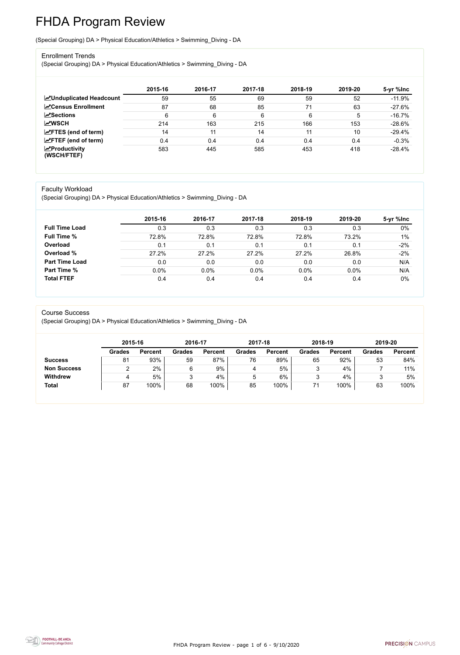FHDA Program Review - page 1 of 6 - 9/10/2020



# FHDA Program Review

(Special Grouping) DA > Physical Education/Athletics > Swimming\_Diving - DA

#### Enrollment Trends

(Special Grouping) DA > Physical Education/Athletics > Swimming\_Diving - DA

|                                          | 2015-16 | 2016-17 | 2017-18 | 2018-19 | 2019-20 | 5-yr %lnc |
|------------------------------------------|---------|---------|---------|---------|---------|-----------|
| <b>ZUnduplicated Headcount</b>           | 59      | 55      | 69      | 59      | 52      | $-11.9%$  |
| <b>ZCensus Enrollment</b>                | 87      | 68      | 85      | 71      | 63      | $-27.6%$  |
| <b>ZSections</b>                         | 6       | 6       | 6       | 6       | 5       | $-16.7%$  |
| <b>MWSCH</b>                             | 214     | 163     | 215     | 166     | 153     | $-28.6%$  |
| $\angle$ FTES (end of term)              | 14      | 11      | 14      | 11      | 10      | $-29.4%$  |
| $\mathsf{Z}$ FTEF (end of term)          | 0.4     | 0.4     | 0.4     | 0.4     | 0.4     | $-0.3%$   |
| $\mathbf{Z}$ Productivity<br>(WSCH/FTEF) | 583     | 445     | 585     | 453     | 418     | $-28.4%$  |

#### Faculty Workload

(Special Grouping) DA > Physical Education/Athletics > Swimming\_Diving - DA

|                       | 2015-16 | 2016-17 | 2017-18 | 2018-19 | 2019-20 | 5-yr %lnc |
|-----------------------|---------|---------|---------|---------|---------|-----------|
| <b>Full Time Load</b> | 0.3     | 0.3     | 0.3     | 0.3     | 0.3     | $0\%$     |
| <b>Full Time %</b>    | 72.8%   | 72.8%   | 72.8%   | 72.8%   | 73.2%   | 1%        |
| Overload              | 0.1     | 0.1     | 0.1     | 0.1     | 0.1     | $-2%$     |
| Overload %            | 27.2%   | 27.2%   | 27.2%   | 27.2%   | 26.8%   | $-2%$     |
| <b>Part Time Load</b> | 0.0     | 0.0     | 0.0     | 0.0     | 0.0     | N/A       |
| <b>Part Time %</b>    | 0.0%    | 0.0%    | 0.0%    | 0.0%    | 0.0%    | N/A       |
| <b>Total FTEF</b>     | 0.4     | 0.4     | 0.4     | 0.4     | 0.4     | $0\%$     |

#### Course Success

(Special Grouping) DA > Physical Education/Athletics > Swimming\_Diving - DA

|                    |               | 2015-16        |               | 2016-17        | 2017-18       |                | 2018-19       |                | 2019-20       |                |
|--------------------|---------------|----------------|---------------|----------------|---------------|----------------|---------------|----------------|---------------|----------------|
|                    | <b>Grades</b> | <b>Percent</b> | <b>Grades</b> | <b>Percent</b> | <b>Grades</b> | <b>Percent</b> | <b>Grades</b> | <b>Percent</b> | <b>Grades</b> | <b>Percent</b> |
| <b>Success</b>     | 81            | 93%            | 59            | 87%            | 76            | 89%            | 65            | 92%            | 53            | 84%            |
| <b>Non Success</b> |               | 2%             | 6             | 9%             |               | 5%             |               | 4%             |               | 11%            |
| <b>Withdrew</b>    |               | 5%             | ◠<br>ມ        | 4%             | Ⴆ             | 6%             |               | 4%             |               | 5%             |
| <b>Total</b>       | 87            | 100%           | 68            | 100%           | 85            | 100%           |               | 100%           | 63            | 100%           |

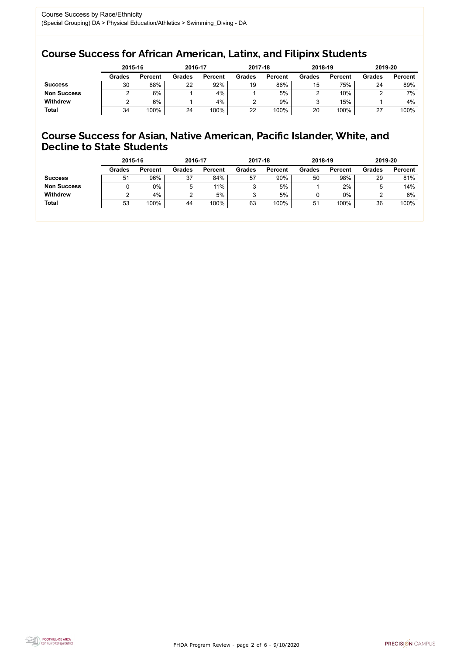FHDA Program Review - page 2 of 6 - 9/10/2020



## Course Success for African American, Latinx, and Filipinx Students

### Course Success for Asian, Native American, Pacific Islander, White, and Decline to State Students

|                    | 2015-16       |                | 2016-17       |                | 2017-18       |                | 2018-19       |                | 2019-20           |                |
|--------------------|---------------|----------------|---------------|----------------|---------------|----------------|---------------|----------------|-------------------|----------------|
|                    | <b>Grades</b> | <b>Percent</b> | <b>Grades</b> | <b>Percent</b> | <b>Grades</b> | <b>Percent</b> | <b>Grades</b> | <b>Percent</b> | <b>Grades</b>     | <b>Percent</b> |
| <b>Success</b>     | 30            | 88%            | 22            | 92%            | 19            | 86%            | 15            | 75%            | 24                | 89%            |
| <b>Non Success</b> |               | 6%             |               | 4%             |               | 5%             |               | 10%            |                   | 7%             |
| <b>Withdrew</b>    |               | 6%             |               | 4%             |               | 9%             |               | 15%            |                   | 4%             |
| <b>Total</b>       | 34            | 100%           | 24            | 100%           | 22            | 100%           | 20            | 100%           | ົ<br>$\mathbf{r}$ | 100%           |

|                    | 2015-16       |                | 2016-17       |                | 2017-18       |                | 2018-19       |                | 2019-20       |                |
|--------------------|---------------|----------------|---------------|----------------|---------------|----------------|---------------|----------------|---------------|----------------|
|                    | <b>Grades</b> | <b>Percent</b> | <b>Grades</b> | <b>Percent</b> | <b>Grades</b> | <b>Percent</b> | <b>Grades</b> | <b>Percent</b> | <b>Grades</b> | <b>Percent</b> |
| <b>Success</b>     | 51            | 96%            | 37            | 84%            | 57            | 90%            | 50            | 98%            | 29            | 81%            |
| <b>Non Success</b> |               | $0\%$          | ხ             | $11\%$         |               | 5%             |               | 2%             | ხ             | 14%            |
| <b>Withdrew</b>    |               | 4%             |               | 5%             |               | 5%             |               | 0%             |               | 6%             |
| <b>Total</b>       | 53            | 100%           | 44            | 100%           | 63            | 100%           | 51            | 100%           | 36            | 100%           |
|                    |               |                |               |                |               |                |               |                |               |                |

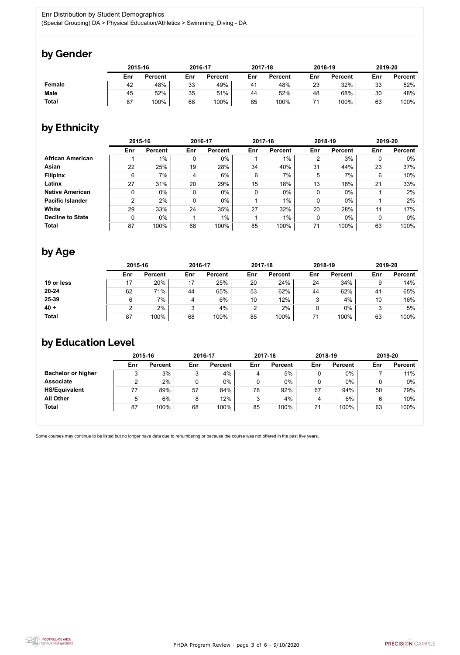FHDA Program Review - page 3 of 6 - 9/10/2020



Some courses may continue to be listed but no longer have data due to renumbering or because the course was not offered in the past five years.



# by Gender

|               | 2015-16 |                | 2016-17 |                | 2017-18 |                | 2018-19 |                | 2019-20 |                |
|---------------|---------|----------------|---------|----------------|---------|----------------|---------|----------------|---------|----------------|
|               | Enr     | <b>Percent</b> | Enr     | <b>Percent</b> | Enr     | <b>Percent</b> | Enr     | <b>Percent</b> | Enr     | <b>Percent</b> |
| <b>Female</b> | 42      | 48%            | 33      | 49%            | 41      | 48%            | 23      | 32%            | 33      | 52%            |
| <b>Male</b>   | 45      | 52%            | 35      | 51%            | 44      | 52%            | 48      | 68%            | 30      | 48%            |
| <b>Total</b>  | 87      | 100%           | 68      | 100%           | 85      | 100%           |         | 100%           | 63      | 100%           |

# by Ethnicity

|                         | 2015-16 |                |     | 2016-17        |     | 2017-18        |     | 2018-19        | 2019-20 |                |
|-------------------------|---------|----------------|-----|----------------|-----|----------------|-----|----------------|---------|----------------|
|                         | Enr     | <b>Percent</b> | Enr | <b>Percent</b> | Enr | <b>Percent</b> | Enr | <b>Percent</b> | Enr     | <b>Percent</b> |
| <b>African American</b> |         | $1\%$          | 0   | $0\%$          |     | $1\%$          | 2   | 3%             | 0       | $0\%$          |
| Asian                   | 22      | 25%            | 19  | 28%            | 34  | 40%            | 31  | 44%            | 23      | 37%            |
| <b>Filipinx</b>         | 6       | 7%             | 4   | 6%             | 6   | 7%             | 5   | 7%             | 6       | 10%            |
| Latinx                  | 27      | 31%            | 20  | 29%            | 15  | 18%            | 13  | 18%            | 21      | 33%            |
| <b>Native American</b>  |         | $0\%$          | 0   | $0\%$          | 0   | $0\%$          | 0   | $0\%$          |         | 2%             |
| <b>Pacific Islander</b> | 2       | 2%             | 0   | $0\%$          |     | 1%             | 0   | $0\%$          |         | 2%             |
| White                   | 29      | 33%            | 24  | 35%            | 27  | 32%            | 20  | 28%            | 11      | 17%            |
| <b>Decline to State</b> |         | $0\%$          |     | $1\%$          |     | $1\%$          | 0   | $0\%$          | 0       | $0\%$          |
| <b>Total</b>            | 87      | 100%           | 68  | 100%           | 85  | 100%           | 71  | 100%           | 63      | 100%           |

# by Age

|              | 2015-16 |                |     | 2016-17        |                | 2017-18        |        | 2018-19        |                | 2019-20        |  |
|--------------|---------|----------------|-----|----------------|----------------|----------------|--------|----------------|----------------|----------------|--|
|              | Enr     | <b>Percent</b> | Enr | <b>Percent</b> | Enr            | <b>Percent</b> | Enr    | <b>Percent</b> | Enr            | <b>Percent</b> |  |
| 19 or less   | 17      | 20%            | 17  | 25%            | 20             | 24%            | 24     | 34%            |                | 14%            |  |
| $20 - 24$    | 62      | 71%            | 44  | 65%            | 53             | 62%            | 44     | 62%            | 4 <sup>1</sup> | 65%            |  |
| 25-39        |         | 7%             | 4   | 6%             | 10             | 12%            | ≏<br>J | 4%             | 10             | 16%            |  |
| $40 +$       |         | 2%             |     | 4%             | $\overline{2}$ | 2%             |        | $0\%$          |                | 5%             |  |
| <b>Total</b> | 87      | 100%           | 68  | 100%           | 85             | 100%           | 71     | 100%           | 63             | 100%           |  |

## by Education Level

|                           | 2015-16 |                |     | 2016-17        |     | 2017-18        | 2018-19 |                | 2019-20 |                |
|---------------------------|---------|----------------|-----|----------------|-----|----------------|---------|----------------|---------|----------------|
|                           | Enr     | <b>Percent</b> | Enr | <b>Percent</b> | Enr | <b>Percent</b> | Enr     | <b>Percent</b> | Enr     | <b>Percent</b> |
| <b>Bachelor or higher</b> | っ<br>J  | 3%             | 3   | 4%             | 4   | 5%             |         | $0\%$          |         | 11%            |
| <b>Associate</b>          |         | 2%             |     | $0\%$          |     | 0%             |         | $0\%$          |         | $0\%$          |
| <b>HS/Equivalent</b>      | 77      | 89%            | 57  | 84%            | 78  | 92%            | 67      | 94%            | 50      | 79%            |
| <b>All Other</b>          | 5       | 6%             | 8   | 12%            |     | 4%             |         | 6%             |         | 10%            |
| <b>Total</b>              | 87      | 100%           | 68  | 100%           | 85  | 100%           | 71      | 100%           | 63      | 100%           |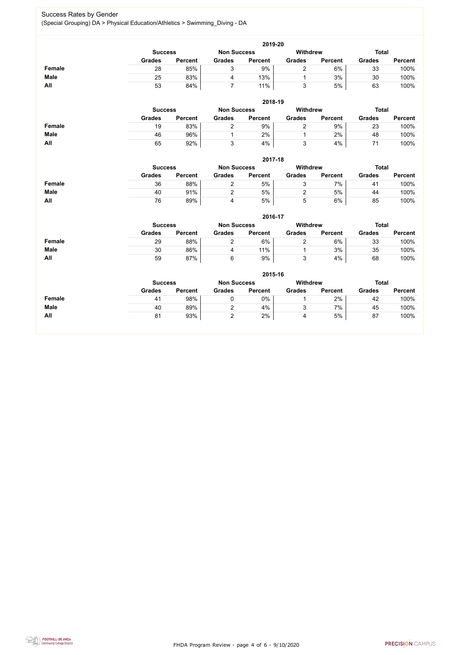FHDA Program Review - page 4 of 6 - 9/10/2020



#### Success Rates by Gender (Special Grouping) DA > Physical Education/Athletics > Swimming\_Diving - DA

|               | 2019-20        |                |                    |                |                 |                |               |                |  |  |  |
|---------------|----------------|----------------|--------------------|----------------|-----------------|----------------|---------------|----------------|--|--|--|
|               | <b>Success</b> |                | <b>Non Success</b> |                | <b>Withdrew</b> |                | <b>Total</b>  |                |  |  |  |
|               | <b>Grades</b>  | <b>Percent</b> | <b>Grades</b>      | <b>Percent</b> | <b>Grades</b>   | <b>Percent</b> | <b>Grades</b> | <b>Percent</b> |  |  |  |
| <b>Female</b> | 28             | 85%            | 3                  | 9%             | $\overline{2}$  | 6%             | 33            | 100%           |  |  |  |
| <b>Male</b>   | 25             | 83%            | 4                  | 13%            |                 | 3%             | 30            | 100%           |  |  |  |
| All           | 53             | 84%            | $\overline{7}$     | 11%            | 3               | 5%             | 63            | 100%           |  |  |  |
|               |                |                |                    | 2018-19        |                 |                |               |                |  |  |  |
|               | <b>Success</b> |                | <b>Non Success</b> |                | <b>Withdrew</b> |                | <b>Total</b>  |                |  |  |  |
|               | <b>Grades</b>  | <b>Percent</b> | <b>Grades</b>      | <b>Percent</b> | <b>Grades</b>   | <b>Percent</b> | <b>Grades</b> | <b>Percent</b> |  |  |  |
| <b>Female</b> | 19             | 83%            | $\overline{2}$     | 9%             | $\overline{2}$  | 9%             | 23            | 100%           |  |  |  |
| <b>Male</b>   | 46             | 96%            | $\mathbf 1$        | 2%             | 1               | 2%             | 48            | 100%           |  |  |  |
| All           | 65             | 92%            | 3                  | 4%             | 3               | 4%             | 71            | 100%           |  |  |  |
|               |                |                |                    | 2017-18        |                 |                |               |                |  |  |  |
|               | <b>Success</b> |                | <b>Non Success</b> |                | <b>Withdrew</b> |                | <b>Total</b>  |                |  |  |  |
|               | <b>Grades</b>  | <b>Percent</b> | <b>Grades</b>      | <b>Percent</b> | <b>Grades</b>   | <b>Percent</b> | <b>Grades</b> | <b>Percent</b> |  |  |  |
| <b>Female</b> | 36             | 88%            | $\overline{2}$     | 5%             | 3               | 7%             | 41            | 100%           |  |  |  |
| <b>Male</b>   | 40             | 91%            | $\overline{2}$     | 5%             | $\overline{2}$  | 5%             | 44            | 100%           |  |  |  |
| All           | 76             | 89%            | 4                  | 5%             | 5               | 6%             | 85            | 100%           |  |  |  |
|               |                |                |                    | 2016-17        |                 |                |               |                |  |  |  |
|               | <b>Success</b> |                | <b>Non Success</b> |                | <b>Withdrew</b> |                | <b>Total</b>  |                |  |  |  |
|               | <b>Grades</b>  | <b>Percent</b> | <b>Grades</b>      | <b>Percent</b> | <b>Grades</b>   | <b>Percent</b> | <b>Grades</b> | <b>Percent</b> |  |  |  |
| <b>Female</b> | 29             | 88%            | $\overline{2}$     | 6%             | $\overline{2}$  | 6%             | 33            | 100%           |  |  |  |
| <b>Male</b>   | 30             | 86%            | 4                  | 11%            |                 | 3%             | 35            | 100%           |  |  |  |
| All           | 59             | 87%            | 6                  | $9\%$          | $\mathfrak{S}$  | $4\%$          | 68            | 100%           |  |  |  |
|               |                |                |                    | 2015-16        |                 |                |               |                |  |  |  |
|               | <b>Success</b> |                | <b>Non Success</b> |                | <b>Withdrew</b> |                | <b>Total</b>  |                |  |  |  |
|               | <b>Grades</b>  | <b>Percent</b> | <b>Grades</b>      | <b>Percent</b> | <b>Grades</b>   | <b>Percent</b> | <b>Grades</b> | <b>Percent</b> |  |  |  |
| <b>Female</b> | 41             | 98%            | $\mathbf 0$        | $0\%$          |                 | 2%             | 42            | 100%           |  |  |  |
| <b>Male</b>   | 40             | 89%            | $\overline{2}$     | 4%             | 3               | 7%             | 45            | 100%           |  |  |  |
| All           | 81             | 93%            | $\overline{2}$     | 2%             | 4               | 5%             | 87            | 100%           |  |  |  |

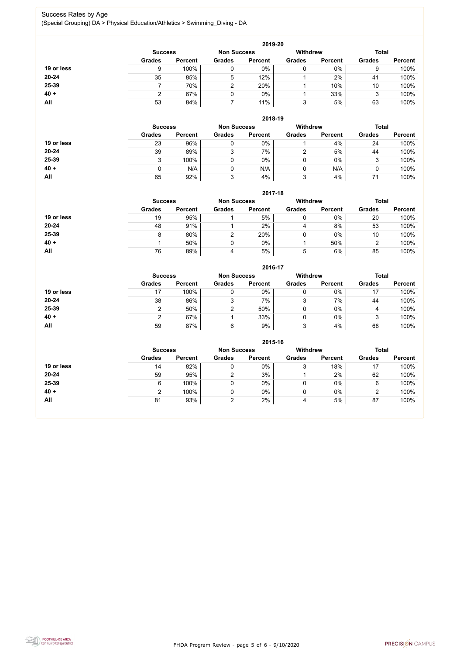FHDA Program Review - page 5 of 6 - 9/10/2020



#### Success Rates by Age (Special Grouping) DA > Physical Education/Athletics > Swimming\_Diving - DA

|            |                |                |                    | 2019-20        |                 |                |               |                |
|------------|----------------|----------------|--------------------|----------------|-----------------|----------------|---------------|----------------|
|            | <b>Success</b> |                | <b>Non Success</b> |                | <b>Withdrew</b> |                | <b>Total</b>  |                |
|            | <b>Grades</b>  | <b>Percent</b> | <b>Grades</b>      | <b>Percent</b> | <b>Grades</b>   | <b>Percent</b> | <b>Grades</b> | <b>Percent</b> |
| 19 or less |                | 100%           | 0                  | 0%             | 0               | $0\%$          | 9             | 100%           |
| $20 - 24$  | 35             | 85%            | 5                  | 12%            |                 | 2%             | 41            | 100%           |
| 25-39      |                | 70%            | $\mathcal{D}$      | 20%            |                 | 10%            | 10            | 100%           |
| $40 +$     |                | 67%            | 0                  | $0\%$          |                 | 33%            | ≏<br>J        | 100%           |
| All        | 53             | 84%            |                    | 11%            | 3               | 5%             | 63            | 100%           |

|            | 2018-19                              |                |               |                |                 |                |               |                |  |  |  |  |
|------------|--------------------------------------|----------------|---------------|----------------|-----------------|----------------|---------------|----------------|--|--|--|--|
|            | <b>Non Success</b><br><b>Success</b> |                |               |                | <b>Withdrew</b> |                | <b>Total</b>  |                |  |  |  |  |
|            | <b>Grades</b>                        | <b>Percent</b> | <b>Grades</b> | <b>Percent</b> | <b>Grades</b>   | <b>Percent</b> | <b>Grades</b> | <b>Percent</b> |  |  |  |  |
| 19 or less | 23                                   | 96%            |               | 0%             |                 | 4%             | 24            | 100%           |  |  |  |  |
| $20 - 24$  | 39                                   | 89%            | 3             | 7%             |                 | 5%             | 44            | 100%           |  |  |  |  |
| 25-39      | 3                                    | 100%           |               | $0\%$          | 0               | $0\%$          | 3             | 100%           |  |  |  |  |
| $40 +$     | 0                                    | N/A            |               | N/A            |                 | N/A            |               | 100%           |  |  |  |  |
| All        | 65                                   | 92%            | 3             | 4%             | 3               | 4%             | 71            | 100%           |  |  |  |  |

**2017-18**

|            | ZU17-18        |                    |               |                 |               |                |               |                |  |
|------------|----------------|--------------------|---------------|-----------------|---------------|----------------|---------------|----------------|--|
|            | <b>Success</b> | <b>Non Success</b> |               | <b>Withdrew</b> |               | <b>Total</b>   |               |                |  |
|            | <b>Grades</b>  | <b>Percent</b>     | <b>Grades</b> | <b>Percent</b>  | <b>Grades</b> | <b>Percent</b> | <b>Grades</b> | <b>Percent</b> |  |
| 19 or less | 19             | 95%                |               | 5%              |               | $0\%$          | 20            | 100%           |  |
| $20 - 24$  | 48             | 91%                |               | 2%              |               | 8%             | 53            | 100%           |  |
| 25-39      | 8              | 80%                |               | 20%             |               | $0\%$          | 10            | 100%           |  |
| $40 +$     |                | 50%                |               | 0%              |               | 50%            |               | 100%           |  |
| All        | 76             | 89%                | 4             | 5%              | 5             | 6%             | 85            | 100%           |  |

**2016-17**



|            | $2010 - 11$    |                |                    |                |                 |                |               |                |
|------------|----------------|----------------|--------------------|----------------|-----------------|----------------|---------------|----------------|
|            | <b>Success</b> |                | <b>Non Success</b> |                | <b>Withdrew</b> |                | <b>Total</b>  |                |
|            | <b>Grades</b>  | <b>Percent</b> | <b>Grades</b>      | <b>Percent</b> | <b>Grades</b>   | <b>Percent</b> | <b>Grades</b> | <b>Percent</b> |
| 19 or less | 17             | 100%           |                    | 0%             | 0               | 0%             | 17            | 100%           |
| $20 - 24$  | 38             | 86%            | 3                  | 7%             | າ<br>J          | 7%             | 44            | 100%           |
| 25-39      |                | 50%            |                    | 50%            | 0               | 0%             | 4             | 100%           |
| $40 +$     |                | 67%            |                    | 33%            | 0               | $0\%$          | 3             | 100%           |
| All        | 59             | 87%            | 6                  | 9%             | ◠<br>C          | 4%             | 68            | 100%           |

|            | 2015-16                              |                |               |                |                 |                |               |                |  |  |
|------------|--------------------------------------|----------------|---------------|----------------|-----------------|----------------|---------------|----------------|--|--|
|            | <b>Non Success</b><br><b>Success</b> |                |               |                | <b>Withdrew</b> |                | <b>Total</b>  |                |  |  |
|            | <b>Grades</b>                        | <b>Percent</b> | <b>Grades</b> | <b>Percent</b> | <b>Grades</b>   | <b>Percent</b> | <b>Grades</b> | <b>Percent</b> |  |  |
| 19 or less | 14                                   | 82%            | ν             | 0%             | 3               | 18%            | 17            | 100%           |  |  |
| $20 - 24$  | 59                                   | 95%            |               | 3%             |                 | 2%             | 62            | 100%           |  |  |
| 25-39      | 6                                    | 100%           | 0             | $0\%$          |                 | 0%             | 6             | 100%           |  |  |
| $40 +$     | ⌒                                    | 100%           | 0             | 0%             |                 | 0%             | າ             | 100%           |  |  |
| All        | 81                                   | 93%            | ⌒             | 2%             | 4               | 5%             | 87            | 100%           |  |  |